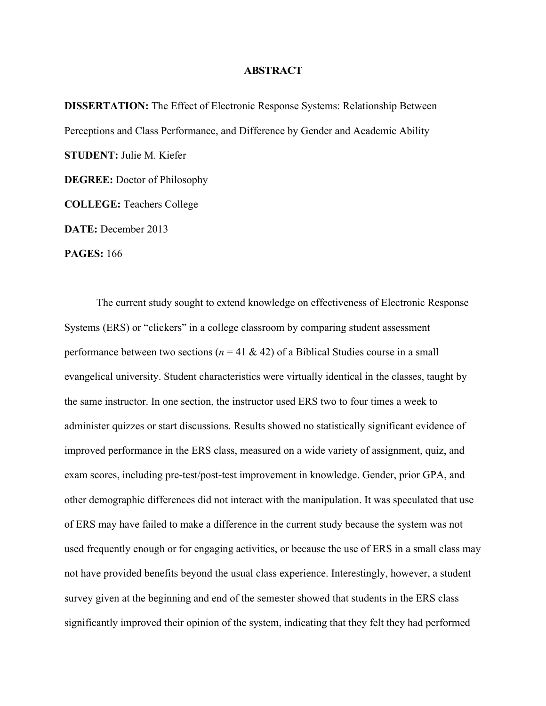## **ABSTRACT**

**DISSERTATION:** The Effect of Electronic Response Systems: Relationship Between Perceptions and Class Performance, and Difference by Gender and Academic Ability **STUDENT:** Julie M. Kiefer **DEGREE:** Doctor of Philosophy **COLLEGE:** Teachers College **DATE:** December 2013 **PAGES:** 166

The current study sought to extend knowledge on effectiveness of Electronic Response Systems (ERS) or "clickers" in a college classroom by comparing student assessment performance between two sections ( $n = 41 \& 42$ ) of a Biblical Studies course in a small evangelical university. Student characteristics were virtually identical in the classes, taught by the same instructor. In one section, the instructor used ERS two to four times a week to administer quizzes or start discussions. Results showed no statistically significant evidence of improved performance in the ERS class, measured on a wide variety of assignment, quiz, and exam scores, including pre-test/post-test improvement in knowledge. Gender, prior GPA, and other demographic differences did not interact with the manipulation. It was speculated that use of ERS may have failed to make a difference in the current study because the system was not used frequently enough or for engaging activities, or because the use of ERS in a small class may not have provided benefits beyond the usual class experience. Interestingly, however, a student survey given at the beginning and end of the semester showed that students in the ERS class significantly improved their opinion of the system, indicating that they felt they had performed